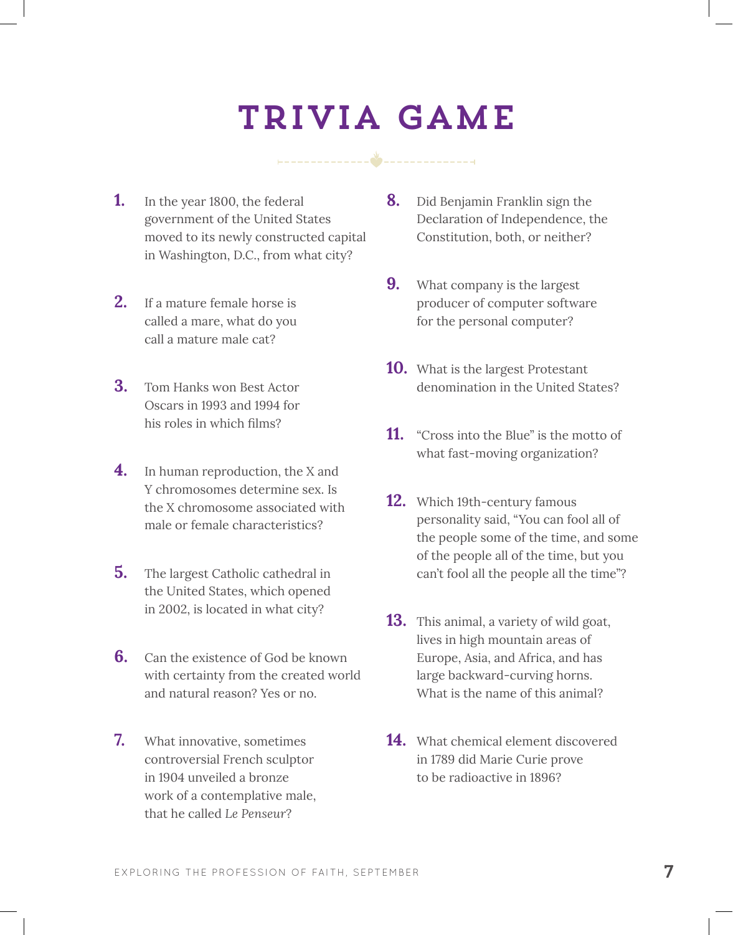## Trivia Game

- **1.** In the year 1800, the federal government of the United States moved to its newly constructed capital in Washington, D.C., from what city?
- **2.** If a mature female horse is called a mare, what do you call a mature male cat?
- **3.** Tom Hanks won Best Actor Oscars in 1993 and 1994 for his roles in which films?
- **4.** In human reproduction, the X and Y chromosomes determine sex. Is the X chromosome associated with male or female characteristics?
- **5.** The largest Catholic cathedral in the United States, which opened in 2002, is located in what city?
- **6.** Can the existence of God be known with certainty from the created world and natural reason? Yes or no.
- **7.** What innovative, sometimes controversial French sculptor in 1904 unveiled a bronze work of a contemplative male, that he called *Le Penseur*?
- **8.** Did Benjamin Franklin sign the Declaration of Independence, the Constitution, both, or neither?
- **9.** What company is the largest producer of computer software for the personal computer?
- **10.** What is the largest Protestant denomination in the United States?
- **11.** "Cross into the Blue" is the motto of what fast-moving organization?
- **12.** Which 19th-century famous personality said, "You can fool all of the people some of the time, and some of the people all of the time, but you can't fool all the people all the time"?
- **13.** This animal, a variety of wild goat, lives in high mountain areas of Europe, Asia, and Africa, and has large backward-curving horns. What is the name of this animal?
- **14.** What chemical element discovered in 1789 did Marie Curie prove to be radioactive in 1896?